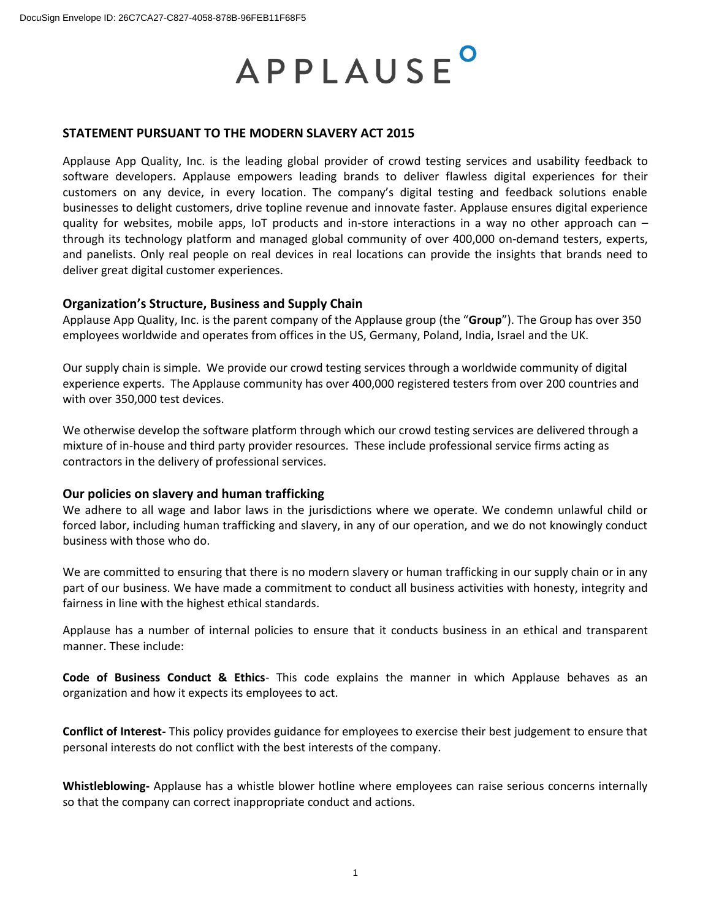# APPLAUSE<sup>o</sup>

#### **STATEMENT PURSUANT TO THE MODERN SLAVERY ACT 2015**

Applause App Quality, Inc. is the leading global provider of crowd testing services and usability feedback to software developers. Applause empowers leading brands to deliver flawless digital experiences for their customers on any device, in every location. The company's digital testing and feedback solutions enable businesses to delight customers, drive topline revenue and innovate faster. Applause ensures digital experience quality for websites, mobile apps, IoT products and in-store interactions in a way no other approach can – through its technology platform and managed global community of over 400,000 on-demand testers, experts, and panelists. Only real people on real devices in real locations can provide the insights that brands need to deliver great digital customer experiences.

### **Organization's Structure, Business and Supply Chain**

Applause App Quality, Inc. is the parent company of the Applause group (the "**Group**"). The Group has over 350 employees worldwide and operates from offices in the US, Germany, Poland, India, Israel and the UK.

Our supply chain is simple. We provide our crowd testing services through a worldwide community of digital experience experts. The Applause community has over 400,000 registered testers from over 200 countries and with over 350,000 test devices.

We otherwise develop the software platform through which our crowd testing services are delivered through a mixture of in-house and third party provider resources. These include professional service firms acting as contractors in the delivery of professional services.

### **Our policies on slavery and human trafficking**

We adhere to all wage and labor laws in the jurisdictions where we operate. We condemn unlawful child or forced labor, including human trafficking and slavery, in any of our operation, and we do not knowingly conduct business with those who do.

We are committed to ensuring that there is no modern slavery or human trafficking in our supply chain or in any part of our business. We have made a commitment to conduct all business activities with honesty, integrity and fairness in line with the highest ethical standards.

Applause has a number of internal policies to ensure that it conducts business in an ethical and transparent manner. These include:

**Code of Business Conduct & Ethics**- This code explains the manner in which Applause behaves as an organization and how it expects its employees to act.

**Conflict of Interest-** This policy provides guidance for employees to exercise their best judgement to ensure that personal interests do not conflict with the best interests of the company.

**Whistleblowing-** Applause has a whistle blower hotline where employees can raise serious concerns internally so that the company can correct inappropriate conduct and actions.